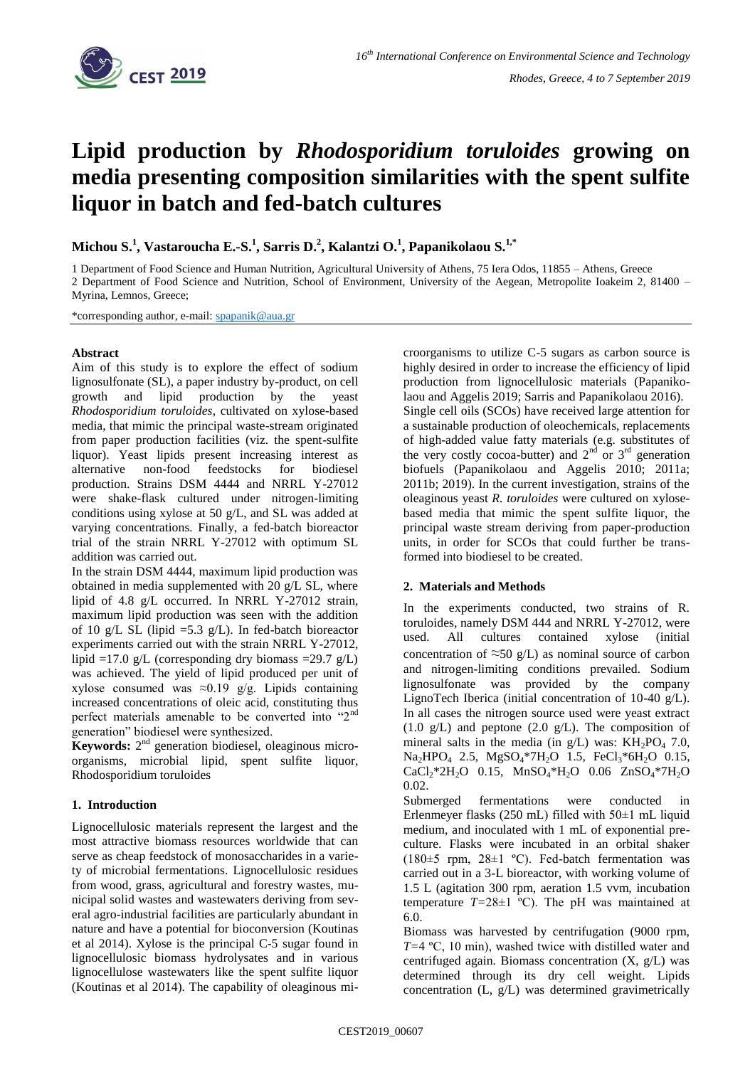

# **Lipid production by** *Rhodosporidium toruloides* **growing on media presenting composition similarities with the spent sulfite liquor in batch and fed-batch cultures**

**Michou S. 1 , Vastaroucha E.-S. 1 , Sarris D. 2 , Kalantzi O. 1 , Papanikolaou S.1,\***

1 Department of Food Science and Human Nutrition, Agricultural University of Athens, 75 Iera Odos, 11855 – Athens, Greece 2 Department of Food Science and Nutrition, School of Environment, University of the Aegean, Metropolite Ioakeim 2, 81400 – Myrina, Lemnos, Greece;

\*corresponding author, e-mail: [spapanik@aua.gr](mailto:spapanik@aua.gr)

### **Abstract**

Aim of this study is to explore the effect of sodium lignosulfonate (SL), a paper industry by-product, on cell growth and lipid production by the yeast *Rhodosporidium toruloides*, cultivated on xylose-based media, that mimic the principal waste-stream originated from paper production facilities (viz. the spent-sulfite liquor). Yeast lipids present increasing interest as alternative non-food feedstocks for biodiesel production. Strains DSM 4444 and NRRL Y-27012 were shake-flask cultured under nitrogen-limiting conditions using xylose at 50 g/L, and SL was added at varying concentrations. Finally, a fed-batch bioreactor trial of the strain NRRL Y-27012 with optimum SL addition was carried out.

In the strain DSM 4444, maximum lipid production was obtained in media supplemented with 20 g/L SL, where lipid of 4.8 g/L occurred. In NRRL Y-27012 strain, maximum lipid production was seen with the addition of 10 g/L SL (lipid  $=$  5.3 g/L). In fed-batch bioreactor experiments carried out with the strain NRRL Y-27012, lipid =17.0 g/L (corresponding dry biomass =29.7 g/L) was achieved. The yield of lipid produced per unit of xylose consumed was  $\approx 0.19$  g/g. Lipids containing increased concentrations of oleic acid, constituting thus perfect materials amenable to be converted into "2nd generation" biodiesel were synthesized.

Keywords: 2<sup>nd</sup> generation biodiesel, oleaginous microorganisms, microbial lipid, spent sulfite liquor, Rhodosporidium toruloides

## **1. Introduction**

Lignocellulosic materials represent the largest and the most attractive biomass resources worldwide that can serve as cheap feedstock of monosaccharides in a variety of microbial fermentations. Lignocellulosic residues from wood, grass, agricultural and forestry wastes, municipal solid wastes and wastewaters deriving from several agro-industrial facilities are particularly abundant in nature and have a potential for bioconversion (Koutinas et al 2014). Xylose is the principal C-5 sugar found in lignocellulosic biomass hydrolysates and in various lignocellulose wastewaters like the spent sulfite liquor (Koutinas et al 2014). The capability of oleaginous microorganisms to utilize C-5 sugars as carbon source is highly desired in order to increase the efficiency of lipid production from lignocellulosic materials (Papanikolaou and Aggelis 2019; Sarris and Papanikolaou 2016). Single cell oils (SCOs) have received large attention for a sustainable production of oleochemicals, replacements of high-added value fatty materials (e.g. substitutes of the very costly cocoa-butter) and  $2<sup>nd</sup>$  or  $3<sup>rd</sup>$  generation biofuels (Papanikolaou and Aggelis 2010; 2011a; 2011b; 2019). In the current investigation, strains of the oleaginous yeast *R. toruloides* were cultured on xylosebased media that mimic the spent sulfite liquor, the principal waste stream deriving from paper-production units, in order for SCOs that could further be transformed into biodiesel to be created.

## **2. Materials and Methods**

In the experiments conducted, two strains of R. toruloides, namely DSM 444 and NRRL Y-27012, were used. All cultures contained xylose (initial concentration of  $\approx$ 50 g/L) as nominal source of carbon and nitrogen-limiting conditions prevailed. Sodium lignosulfonate was provided by the company LignoTech Iberica (initial concentration of 10-40 g/L). In all cases the nitrogen source used were yeast extract  $(1.0 \text{ g/L})$  and peptone  $(2.0 \text{ g/L})$ . The composition of mineral salts in the media (in  $g/L$ ) was:  $KH_2PO_4$  7.0, Na<sub>2</sub>HPO<sub>4</sub> 2.5, MgSO<sub>4</sub>\*7H<sub>2</sub>O 1.5, FeCl<sub>3</sub>\*6H<sub>2</sub>O 0.15,  $CaCl_2*2H_2O$  0.15,  $MnSO_4*H_2O$  0.06  $ZnSO_4*7H_2O$ 0.02.

Submerged fermentations were conducted in Erlenmeyer flasks (250 mL) filled with 50±1 mL liquid medium, and inoculated with 1 mL of exponential preculture. Flasks were incubated in an orbital shaker (180 $\pm$ 5 rpm, 28 $\pm$ 1 °C). Fed-batch fermentation was carried out in a 3-L bioreactor, with working volume of 1.5 L (agitation 300 rpm, aeration 1.5 vvm, incubation temperature  $T=28\pm1$  °C). The pH was maintained at 6.0.

Biomass was harvested by centrifugation (9000 rpm, *T=*4 ºC, 10 min), washed twice with distilled water and centrifuged again. Biomass concentration (X, g/L) was determined through its dry cell weight. Lipids concentration (L, g/L) was determined gravimetrically